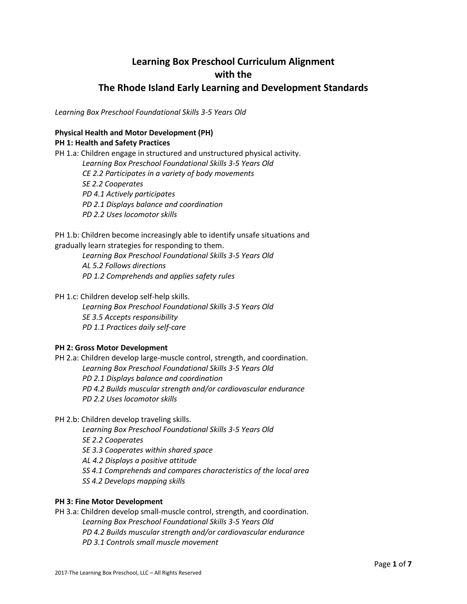## **Learning Box Preschool Curriculum Alignment with the The Rhode Island Early Learning and Development Standards**

*Learning Box Preschool Foundational Skills 3-5 Years Old*

#### **Physical Health and Motor Development (PH)**

#### **PH 1: Health and Safety Practices**

PH 1.a: Children engage in structured and unstructured physical activity. *Learning Box Preschool Foundational Skills 3-5 Years Old*

*CE 2.2 Participates in a variety of body movements SE 2.2 Cooperates PD 4.1 Actively participates PD 2.1 Displays balance and coordination PD 2.2 Uses locomotor skills*

PH 1.b: Children become increasingly able to identify unsafe situations and gradually learn strategies for responding to them.

*Learning Box Preschool Foundational Skills 3-5 Years Old AL 5.2 Follows directions PD 1.2 Comprehends and applies safety rules*

PH 1.c: Children develop self-help skills.

*Learning Box Preschool Foundational Skills 3-5 Years Old SE 3.5 Accepts responsibility PD 1.1 Practices daily self-care*

## **PH 2: Gross Motor Development**

PH 2.a: Children develop large-muscle control, strength, and coordination. *Learning Box Preschool Foundational Skills 3-5 Years Old PD 2.1 Displays balance and coordination PD 4.2 Builds muscular strength and/or cardiovascular endurance PD 2.2 Uses locomotor skills*

PH 2.b: Children develop traveling skills.

*Learning Box Preschool Foundational Skills 3-5 Years Old SE 2.2 Cooperates SE 3.3 Cooperates within shared space AL 4.2 Displays a positive attitude SS 4.1 Comprehends and compares characteristics of the local area SS 4.2 Develops mapping skills*

#### **PH 3: Fine Motor Development**

PH 3.a: Children develop small-muscle control, strength, and coordination. *Learning Box Preschool Foundational Skills 3-5 Years Old PD 4.2 Builds muscular strength and/or cardiovascular endurance PD 3.1 Controls small muscle movement*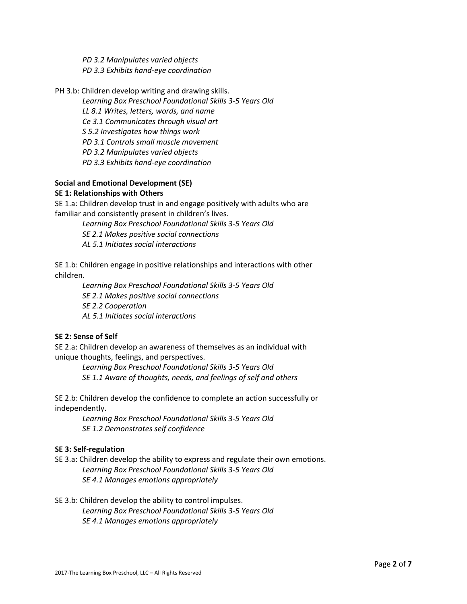*PD 3.2 Manipulates varied objects PD 3.3 Exhibits hand-eye coordination*

PH 3.b: Children develop writing and drawing skills.

*Learning Box Preschool Foundational Skills 3-5 Years Old LL 8.1 Writes, letters, words, and name Ce 3.1 Communicates through visual art S 5.2 Investigates how things work PD 3.1 Controls small muscle movement PD 3.2 Manipulates varied objects PD 3.3 Exhibits hand-eye coordination*

# **Social and Emotional Development (SE)**

## **SE 1: Relationships with Others**

SE 1.a: Children develop trust in and engage positively with adults who are familiar and consistently present in children's lives.

> *Learning Box Preschool Foundational Skills 3-5 Years Old SE 2.1 Makes positive social connections AL 5.1 Initiates social interactions*

SE 1.b: Children engage in positive relationships and interactions with other children.

> *Learning Box Preschool Foundational Skills 3-5 Years Old SE 2.1 Makes positive social connections SE 2.2 Cooperation AL 5.1 Initiates social interactions*

## **SE 2: Sense of Self**

SE 2.a: Children develop an awareness of themselves as an individual with unique thoughts, feelings, and perspectives.

*Learning Box Preschool Foundational Skills 3-5 Years Old SE 1.1 Aware of thoughts, needs, and feelings of self and others*

SE 2.b: Children develop the confidence to complete an action successfully or independently.

> *Learning Box Preschool Foundational Skills 3-5 Years Old SE 1.2 Demonstrates self confidence*

## **SE 3: Self-regulation**

SE 3.a: Children develop the ability to express and regulate their own emotions. *Learning Box Preschool Foundational Skills 3-5 Years Old SE 4.1 Manages emotions appropriately*

## SE 3.b: Children develop the ability to control impulses. *Learning Box Preschool Foundational Skills 3-5 Years Old SE 4.1 Manages emotions appropriately*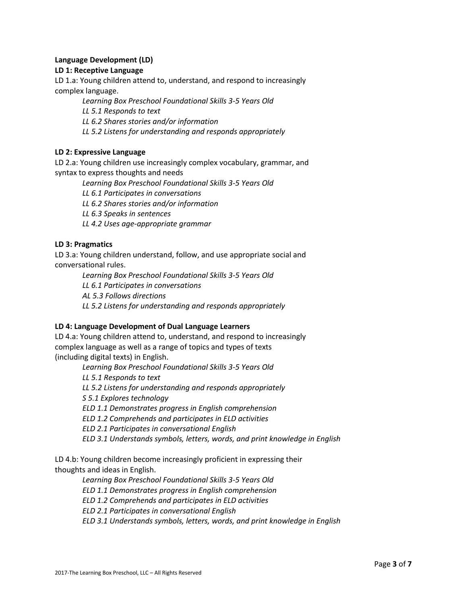## **Language Development (LD)**

#### **LD 1: Receptive Language**

LD 1.a: Young children attend to, understand, and respond to increasingly complex language.

*Learning Box Preschool Foundational Skills 3-5 Years Old*

*LL 5.1 Responds to text*

*LL 6.2 Shares stories and/or information*

*LL 5.2 Listens for understanding and responds appropriately*

## **LD 2: Expressive Language**

LD 2.a: Young children use increasingly complex vocabulary, grammar, and syntax to express thoughts and needs

*Learning Box Preschool Foundational Skills 3-5 Years Old*

*LL 6.1 Participates in conversations*

*LL 6.2 Shares stories and/or information*

*LL 6.3 Speaks in sentences*

*LL 4.2 Uses age-appropriate grammar*

#### **LD 3: Pragmatics**

LD 3.a: Young children understand, follow, and use appropriate social and conversational rules.

> *Learning Box Preschool Foundational Skills 3-5 Years Old LL 6.1 Participates in conversations AL 5.3 Follows directions LL 5.2 Listens for understanding and responds appropriately*

#### **LD 4: Language Development of Dual Language Learners**

LD 4.a: Young children attend to, understand, and respond to increasingly complex language as well as a range of topics and types of texts (including digital texts) in English.

> *Learning Box Preschool Foundational Skills 3-5 Years Old LL 5.1 Responds to text LL 5.2 Listens for understanding and responds appropriately S 5.1 Explores technology ELD 1.1 Demonstrates progress in English comprehension ELD 1.2 Comprehends and participates in ELD activities ELD 2.1 Participates in conversational English ELD 3.1 Understands symbols, letters, words, and print knowledge in English*

LD 4.b: Young children become increasingly proficient in expressing their thoughts and ideas in English.

> *Learning Box Preschool Foundational Skills 3-5 Years Old ELD 1.1 Demonstrates progress in English comprehension ELD 1.2 Comprehends and participates in ELD activities ELD 2.1 Participates in conversational English ELD 3.1 Understands symbols, letters, words, and print knowledge in English*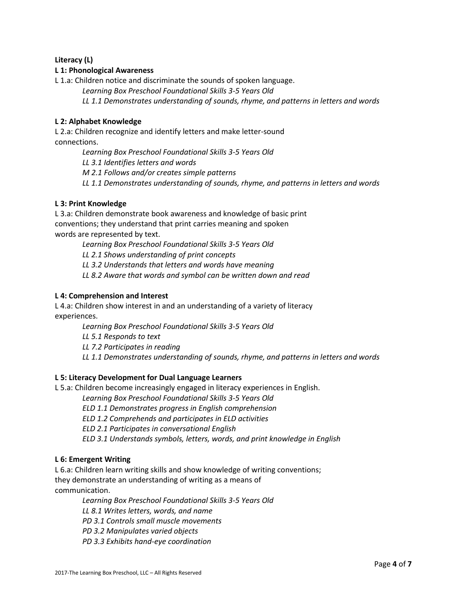## **Literacy (L)**

## **L 1: Phonological Awareness**

L 1.a: Children notice and discriminate the sounds of spoken language.

*Learning Box Preschool Foundational Skills 3-5 Years Old LL 1.1 Demonstrates understanding of sounds, rhyme, and patterns in letters and words*

## **L 2: Alphabet Knowledge**

L 2.a: Children recognize and identify letters and make letter-sound connections.

*Learning Box Preschool Foundational Skills 3-5 Years Old*

*LL 3.1 Identifies letters and words*

*M 2.1 Follows and/or creates simple patterns*

*LL 1.1 Demonstrates understanding of sounds, rhyme, and patterns in letters and words*

## **L 3: Print Knowledge**

L 3.a: Children demonstrate book awareness and knowledge of basic print conventions; they understand that print carries meaning and spoken words are represented by text.

*Learning Box Preschool Foundational Skills 3-5 Years Old*

*LL 2.1 Shows understanding of print concepts*

*LL 3.2 Understands that letters and words have meaning*

*LL 8.2 Aware that words and symbol can be written down and read*

#### **L 4: Comprehension and Interest**

L 4.a: Children show interest in and an understanding of a variety of literacy experiences.

*Learning Box Preschool Foundational Skills 3-5 Years Old*

*LL 5.1 Responds to text*

*LL 7.2 Participates in reading*

*LL 1.1 Demonstrates understanding of sounds, rhyme, and patterns in letters and words*

## **L 5: Literacy Development for Dual Language Learners**

L 5.a: Children become increasingly engaged in literacy experiences in English.

*Learning Box Preschool Foundational Skills 3-5 Years Old*

*ELD 1.1 Demonstrates progress in English comprehension*

*ELD 1.2 Comprehends and participates in ELD activities*

*ELD 2.1 Participates in conversational English*

*ELD 3.1 Understands symbols, letters, words, and print knowledge in English*

## **L 6: Emergent Writing**

L 6.a: Children learn writing skills and show knowledge of writing conventions; they demonstrate an understanding of writing as a means of communication.

> *Learning Box Preschool Foundational Skills 3-5 Years Old LL 8.1 Writes letters, words, and name PD 3.1 Controls small muscle movements PD 3.2 Manipulates varied objects PD 3.3 Exhibits hand-eye coordination*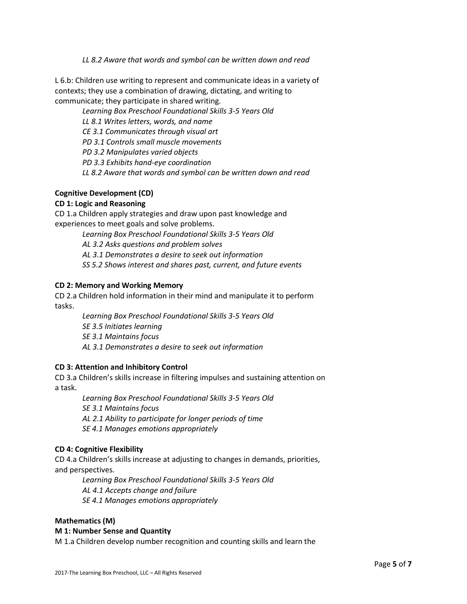#### *LL 8.2 Aware that words and symbol can be written down and read*

L 6.b: Children use writing to represent and communicate ideas in a variety of contexts; they use a combination of drawing, dictating, and writing to communicate; they participate in shared writing.

> *Learning Box Preschool Foundational Skills 3-5 Years Old LL 8.1 Writes letters, words, and name CE 3.1 Communicates through visual art PD 3.1 Controls small muscle movements PD 3.2 Manipulates varied objects PD 3.3 Exhibits hand-eye coordination LL 8.2 Aware that words and symbol can be written down and read*

## **Cognitive Development (CD)**

#### **CD 1: Logic and Reasoning**

CD 1.a Children apply strategies and draw upon past knowledge and experiences to meet goals and solve problems.

*Learning Box Preschool Foundational Skills 3-5 Years Old*

*AL 3.2 Asks questions and problem solves*

*AL 3.1 Demonstrates a desire to seek out information*

*SS 5.2 Shows interest and shares past, current, and future events*

#### **CD 2: Memory and Working Memory**

CD 2.a Children hold information in their mind and manipulate it to perform tasks.

> *Learning Box Preschool Foundational Skills 3-5 Years Old SE 3.5 Initiates learning SE 3.1 Maintains focus AL 3.1 Demonstrates a desire to seek out information*

#### **CD 3: Attention and Inhibitory Control**

CD 3.a Children's skills increase in filtering impulses and sustaining attention on a task.

> *Learning Box Preschool Foundational Skills 3-5 Years Old SE 3.1 Maintains focus AL 2.1 Ability to participate for longer periods of time SE 4.1 Manages emotions appropriately*

#### **CD 4: Cognitive Flexibility**

CD 4.a Children's skills increase at adjusting to changes in demands, priorities, and perspectives.

> *Learning Box Preschool Foundational Skills 3-5 Years Old AL 4.1 Accepts change and failure SE 4.1 Manages emotions appropriately*

#### **Mathematics (M)**

#### **M 1: Number Sense and Quantity**

M 1.a Children develop number recognition and counting skills and learn the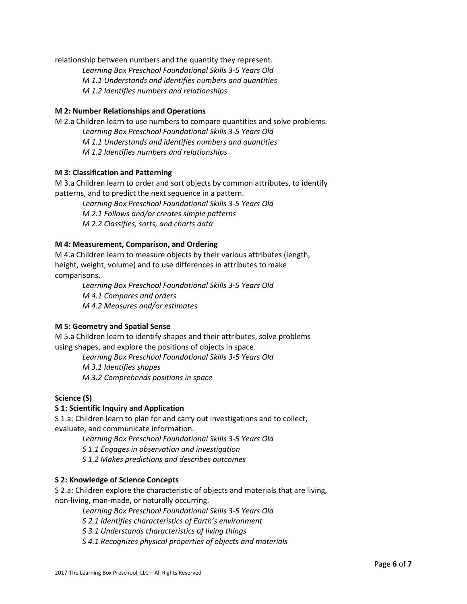relationship between numbers and the quantity they represent.

*Learning Box Preschool Foundational Skills 3-5 Years Old*

*M 1.1 Understands and identifies numbers and quantities*

*M 1.2 Identifies numbers and relationships*

## **M 2: Number Relationships and Operations**

M 2.a Children learn to use numbers to compare quantities and solve problems. *Learning Box Preschool Foundational Skills 3-5 Years Old M 1.1 Understands and identifies numbers and quantities M 1.2 Identifies numbers and relationships*

## **M 3: Classification and Patterning**

M 3.a Children learn to order and sort objects by common attributes, to identify patterns, and to predict the next sequence in a pattern.

*Learning Box Preschool Foundational Skills 3-5 Years Old M 2.1 Follows and/or creates simple patterns M 2.2 Classifies, sorts, and charts data*

## **M 4: Measurement, Comparison, and Ordering**

M 4.a Children learn to measure objects by their various attributes (length, height, weight, volume) and to use differences in attributes to make comparisons.

*Learning Box Preschool Foundational Skills 3-5 Years Old M 4.1 Compares and orders M 4.2 Measures and/or estimates*

## **M 5: Geometry and Spatial Sense**

M 5.a Children learn to identify shapes and their attributes, solve problems using shapes, and explore the positions of objects in space.

*Learning Box Preschool Foundational Skills 3-5 Years Old*

*M 3.1 Identifies shapes*

*M 3.2 Comprehends positions in space*

## **Science (S)**

## **S 1: Scientific Inquiry and Application**

S 1.a: Children learn to plan for and carry out investigations and to collect, evaluate, and communicate information.

*Learning Box Preschool Foundational Skills 3-5 Years Old*

*S 1.1 Engages in observation and investigation*

*S 1.2 Makes predictions and describes outcomes*

## **S 2: Knowledge of Science Concepts**

S 2.a: Children explore the characteristic of objects and materials that are living, non-living, man-made, or naturally occurring.

*Learning Box Preschool Foundational Skills 3-5 Years Old*

*S 2.1 Identifies characteristics of Earth's environment*

*S 3.1 Understands characteristics of living things*

*S 4.1 Recognizes physical properties of objects and materials*